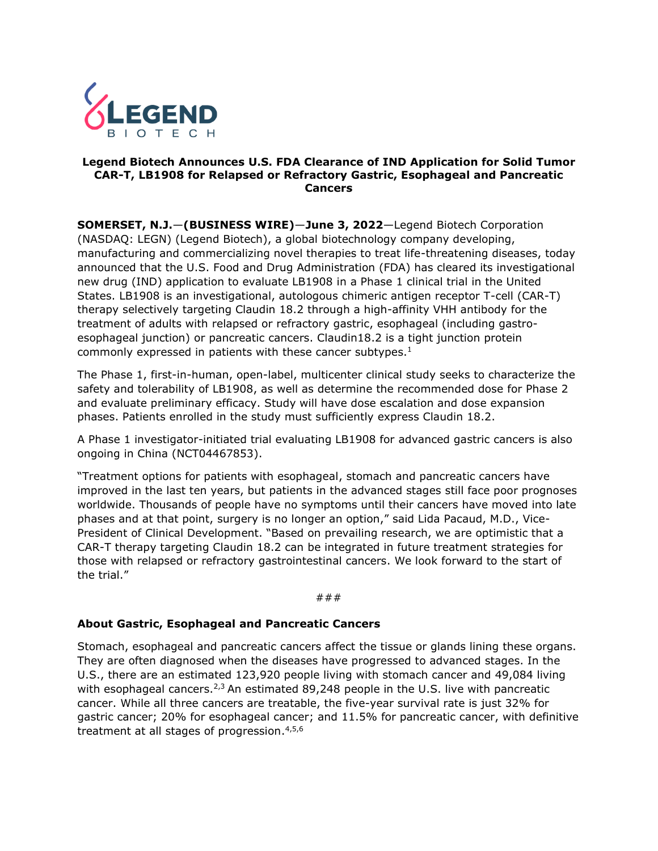

## **Legend Biotech Announces U.S. FDA Clearance of IND Application for Solid Tumor CAR-T, LB1908 for Relapsed or Refractory Gastric, Esophageal and Pancreatic Cancers**

**SOMERSET, N.J.**—**(BUSINESS WIRE)**—**June 3, 2022**—Legend Biotech Corporation (NASDAQ: LEGN) (Legend Biotech), a global biotechnology company developing, manufacturing and commercializing novel therapies to treat life-threatening diseases, today announced that the U.S. Food and Drug Administration (FDA) has cleared its investigational new drug (IND) application to evaluate LB1908 in a Phase 1 clinical trial in the United States. LB1908 is an investigational, autologous chimeric antigen receptor T-cell (CAR-T) therapy selectively targeting Claudin 18.2 through a high-affinity VHH antibody for the treatment of adults with relapsed or refractory gastric, esophageal (including gastroesophageal junction) or pancreatic cancers. Claudin18.2 is a tight junction protein commonly expressed in patients with these cancer subtypes. 1

The Phase 1, first-in-human, open-label, multicenter clinical study seeks to characterize the safety and tolerability of LB1908, as well as determine the recommended dose for Phase 2 and evaluate preliminary efficacy. Study will have dose escalation and dose expansion phases. Patients enrolled in the study must sufficiently express Claudin 18.2.

A Phase 1 investigator-initiated trial evaluating LB1908 for advanced gastric cancers is also ongoing in China (NCT04467853).

"Treatment options for patients with esophageal, stomach and pancreatic cancers have improved in the last ten years, but patients in the advanced stages still face poor prognoses worldwide. Thousands of people have no symptoms until their cancers have moved into late phases and at that point, surgery is no longer an option," said Lida Pacaud, M.D., Vice-President of Clinical Development. "Based on prevailing research, we are optimistic that a CAR-T therapy targeting Claudin 18.2 can be integrated in future treatment strategies for those with relapsed or refractory gastrointestinal cancers. We look forward to the start of the trial."

#### ###

# **About Gastric, Esophageal and Pancreatic Cancers**

Stomach, esophageal and pancreatic cancers affect the tissue or glands lining these organs. They are often diagnosed when the diseases have progressed to advanced stages. In the U.S., there are an estimated 123,920 people living with stomach cancer and 49,084 living with esophageal cancers.<sup>2,3</sup> An estimated 89,248 people in the U.S. live with pancreatic cancer. While all three cancers are treatable, the five-year survival rate is just 32% for gastric cancer; 20% for esophageal cancer; and 11.5% for pancreatic cancer, with definitive treatment at all stages of progression.<sup>4,5,6</sup>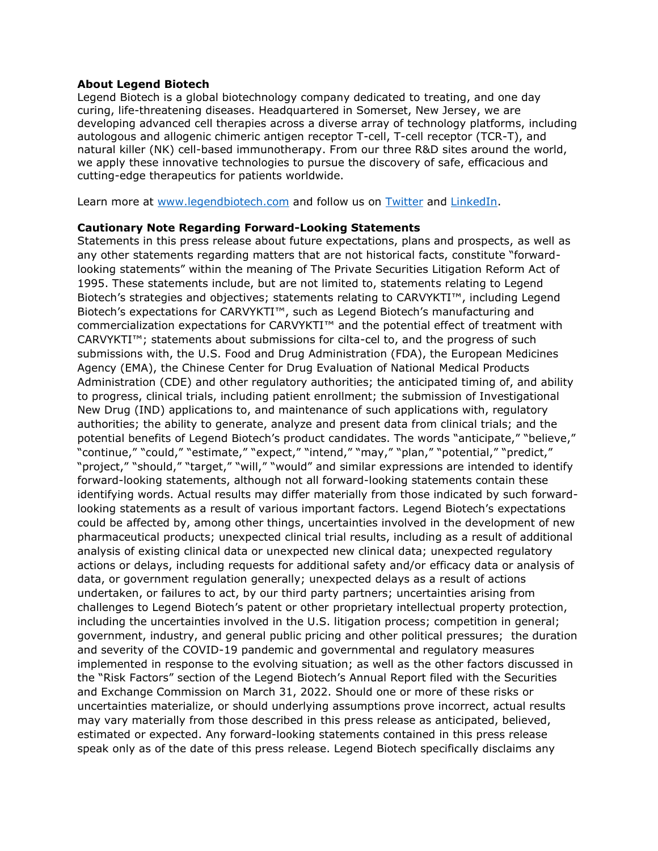## **About Legend Biotech**

Legend Biotech is a global biotechnology company dedicated to treating, and one day curing, life-threatening diseases. Headquartered in Somerset, New Jersey, we are developing advanced cell therapies across a diverse array of technology platforms, including autologous and allogenic chimeric antigen receptor T-cell, T-cell receptor (TCR-T), and natural killer (NK) cell-based immunotherapy. From our three R&D sites around the world, we apply these innovative technologies to pursue the discovery of safe, efficacious and cutting-edge therapeutics for patients worldwide.

Learn more at [www.legendbiotech.com](https://apc01.safelinks.protection.outlook.com/?url=https%3A%2F%2Furldefense.com%2Fv3%2F__http%3A%2Fwww.legendbiotech.com%2F__%3B!!Dahw-A9d0CA!l_HBzc6uFFeUDuZZa9ZaL36SCN4RrVIMjWybRwXGmPMcCeXFMsUTZlHW7117Bv5v%24&data=04%7C01%7Ctina.carter%40legendbiotech.com%7C16a4efa927f340b07f5408d9730bde94%7Cd55ad7adbf234f2cb95e1164d77114c9%7C0%7C0%7C637667317543128330%7CUnknown%7CTWFpbGZsb3d8eyJWIjoiMC4wLjAwMDAiLCJQIjoiV2luMzIiLCJBTiI6Ik1haWwiLCJXVCI6Mn0%3D%7C2000&sdata=SGEIilDeN6oOC2e6jPKxF9s4UeP%2F7qYMPZCwABxs1GY%3D&reserved=0) and follow us on [Twitter](https://apc01.safelinks.protection.outlook.com/?url=https%3A%2F%2Furldefense.com%2Fv3%2F__https%3A%2Ftwitter.com%2Flegendbiotech%3Flang%3Den__%3B!!Dahw-A9d0CA!l_HBzc6uFFeUDuZZa9ZaL36SCN4RrVIMjWybRwXGmPMcCeXFMsUTZlHW7-CeoCbi%24&data=04%7C01%7Ctina.carter%40legendbiotech.com%7C16a4efa927f340b07f5408d9730bde94%7Cd55ad7adbf234f2cb95e1164d77114c9%7C0%7C0%7C637667317543138324%7CUnknown%7CTWFpbGZsb3d8eyJWIjoiMC4wLjAwMDAiLCJQIjoiV2luMzIiLCJBTiI6Ik1haWwiLCJXVCI6Mn0%3D%7C2000&sdata=G67YvZwhP%2FqpNT70jcxhfJtkRBbttuYxLr1GRRXONFY%3D&reserved=0) and [LinkedIn.](https://apc01.safelinks.protection.outlook.com/?url=https%3A%2F%2Furldefense.com%2Fv3%2F__https%3A%2Fwww.linkedin.com%2Fcompany%2Flegendbiotechco.%2F__%3B!!Dahw-A9d0CA!l_HBzc6uFFeUDuZZa9ZaL36SCN4RrVIMjWybRwXGmPMcCeXFMsUTZlHW7xWi5KQF%24&data=04%7C01%7Ctina.carter%40legendbiotech.com%7C16a4efa927f340b07f5408d9730bde94%7Cd55ad7adbf234f2cb95e1164d77114c9%7C0%7C0%7C637667317543138324%7CUnknown%7CTWFpbGZsb3d8eyJWIjoiMC4wLjAwMDAiLCJQIjoiV2luMzIiLCJBTiI6Ik1haWwiLCJXVCI6Mn0%3D%7C2000&sdata=rAaHW745AINa0fRJ5bSa9ANpUsQtVUxOPkh%2BsfS5lao%3D&reserved=0)

## **Cautionary Note Regarding Forward-Looking Statements**

Statements in this press release about future expectations, plans and prospects, as well as any other statements regarding matters that are not historical facts, constitute "forwardlooking statements" within the meaning of The Private Securities Litigation Reform Act of 1995. These statements include, but are not limited to, statements relating to Legend Biotech's strategies and objectives; statements relating to CARVYKTI™, including Legend Biotech's expectations for CARVYKTI™, such as Legend Biotech's manufacturing and commercialization expectations for CARVYKTI™ and the potential effect of treatment with CARVYKTI™; statements about submissions for cilta-cel to, and the progress of such submissions with, the U.S. Food and Drug Administration (FDA), the European Medicines Agency (EMA), the Chinese Center for Drug Evaluation of National Medical Products Administration (CDE) and other regulatory authorities; the anticipated timing of, and ability to progress, clinical trials, including patient enrollment; the submission of Investigational New Drug (IND) applications to, and maintenance of such applications with, regulatory authorities; the ability to generate, analyze and present data from clinical trials; and the potential benefits of Legend Biotech's product candidates. The words "anticipate," "believe," "continue," "could," "estimate," "expect," "intend," "may," "plan," "potential," "predict," "project," "should," "target," "will," "would" and similar expressions are intended to identify forward-looking statements, although not all forward-looking statements contain these identifying words. Actual results may differ materially from those indicated by such forwardlooking statements as a result of various important factors. Legend Biotech's expectations could be affected by, among other things, uncertainties involved in the development of new pharmaceutical products; unexpected clinical trial results, including as a result of additional analysis of existing clinical data or unexpected new clinical data; unexpected regulatory actions or delays, including requests for additional safety and/or efficacy data or analysis of data, or government regulation generally; unexpected delays as a result of actions undertaken, or failures to act, by our third party partners; uncertainties arising from challenges to Legend Biotech's patent or other proprietary intellectual property protection, including the uncertainties involved in the U.S. litigation process; competition in general; government, industry, and general public pricing and other political pressures; the duration and severity of the COVID-19 pandemic and governmental and regulatory measures implemented in response to the evolving situation; as well as the other factors discussed in the "Risk Factors" section of the Legend Biotech's Annual Report filed with the Securities and Exchange Commission on March 31, 2022. Should one or more of these risks or uncertainties materialize, or should underlying assumptions prove incorrect, actual results may vary materially from those described in this press release as anticipated, believed, estimated or expected. Any forward-looking statements contained in this press release speak only as of the date of this press release. Legend Biotech specifically disclaims any